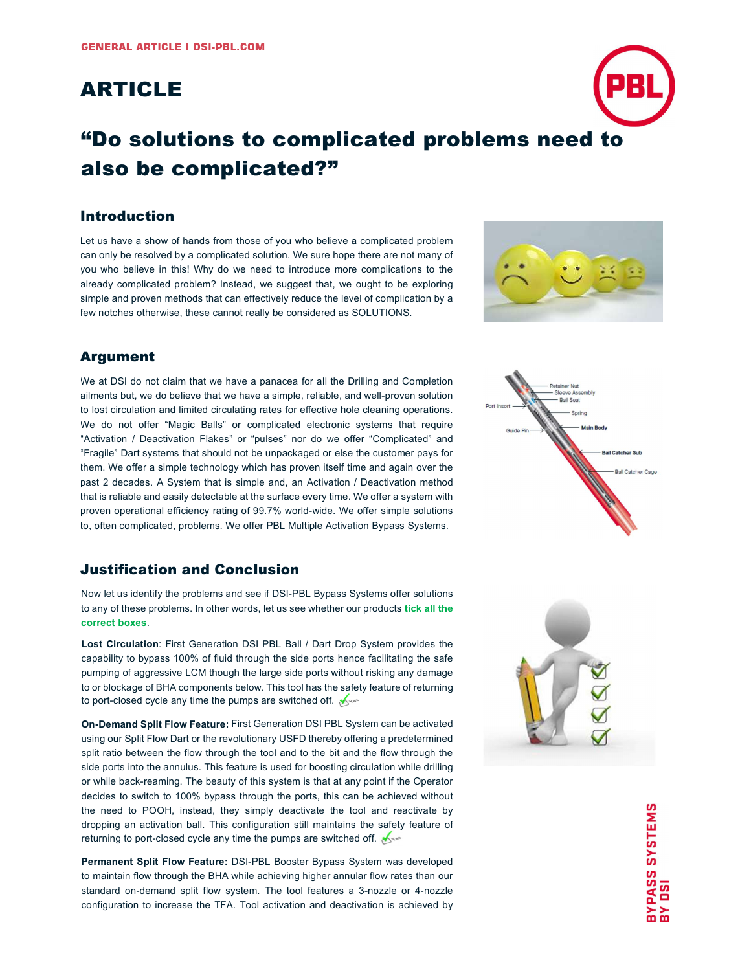## ARTICLE

# "Do solutions to complicated problems need to also be complicated?"

#### Introduction

Let us have a show of hands from those of you who believe a complicated problem can only be resolved by a complicated solution. We sure hope there are not many of you who believe in this! Why do we need to introduce more complications to the already complicated problem? Instead, we suggest that, we ought to be exploring simple and proven methods that can effectively reduce the level of complication by a few notches otherwise, these cannot really be considered as SOLUTIONS.

### Argument

We at DSI do not claim that we have a panacea for all the Drilling and Completion ailments but, we do believe that we have a simple, reliable, and well-proven solution to lost circulation and limited circulating rates for effective hole cleaning operations. We do not offer "Magic Balls" or complicated electronic systems that require "Activation / Deactivation Flakes" or "pulses" nor do we offer "Complicated" and "Fragile" Dart systems that should not be unpackaged or else the customer pays for them. We offer a simple technology which has proven itself time and again over the past 2 decades. A System that is simple and, an Activation / Deactivation method that is reliable and easily detectable at the surface every time. We offer a system with proven operational efficiency rating of 99.7% world-wide. We offer simple solutions to, often complicated, problems. We offer PBL Multiple Activation Bypass Systems.

#### Justification and Conclusion

Now let us identify the problems and see if DSI-PBL Bypass Systems offer solutions to any of these problems. In other words, let us see whether our products tick all the correct boxes.

Lost Circulation: First Generation DSI PBL Ball / Dart Drop System provides the capability to bypass 100% of fluid through the side ports hence facilitating the safe pumping of aggressive LCM though the large side ports without risking any damage to or blockage of BHA components below. This tool has the safety feature of returning to port-closed cycle any time the pumps are switched off.

On-Demand Split Flow Feature: First Generation DSI PBL System can be activated using our Split Flow Dart or the revolutionary USFD thereby offering a predetermined split ratio between the flow through the tool and to the bit and the flow through the side ports into the annulus. This feature is used for boosting circulation while drilling or while back-reaming. The beauty of this system is that at any point if the Operator decides to switch to 100% bypass through the ports, this can be achieved without the need to POOH, instead, they simply deactivate the tool and reactivate by dropping an activation ball. This configuration still maintains the safety feature of returning to port-closed cycle any time the pumps are switched off.

Permanent Split Flow Feature: DSI-PBL Booster Bypass System was developed to maintain flow through the BHA while achieving higher annular flow rates than our standard on-demand split flow system. The tool features a 3-nozzle or 4-nozzle configuration to increase the TFA. Tool activation and deactivation is achieved by





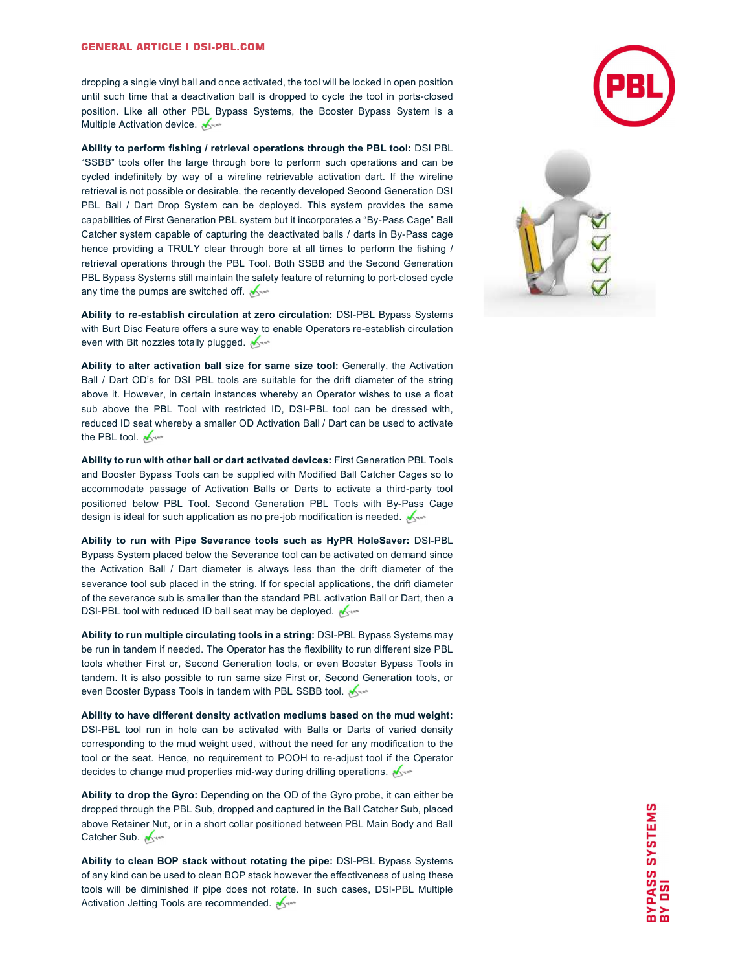#### **GENERAL ARTICLE I DSI-PBL.COM**

dropping a single vinyl ball and once activated, the tool will be locked in open position until such time that a deactivation ball is dropped to cycle the tool in ports-closed position. Like all other PBL Bypass Systems, the Booster Bypass System is a Multiple Activation device.

Ability to perform fishing / retrieval operations through the PBL tool: DSI PBL "SSBB" tools offer the large through bore to perform such operations and can be cycled indefinitely by way of a wireline retrievable activation dart. If the wireline retrieval is not possible or desirable, the recently developed Second Generation DSI PBL Ball / Dart Drop System can be deployed. This system provides the same capabilities of First Generation PBL system but it incorporates a "By-Pass Cage" Ball Catcher system capable of capturing the deactivated balls / darts in By-Pass cage hence providing a TRULY clear through bore at all times to perform the fishing / retrieval operations through the PBL Tool. Both SSBB and the Second Generation PBL Bypass Systems still maintain the safety feature of returning to port-closed cycle any time the pumps are switched off.

Ability to re-establish circulation at zero circulation: DSI-PBL Bypass Systems with Burt Disc Feature offers a sure way to enable Operators re-establish circulation even with Bit nozzles totally plugged.

Ability to alter activation ball size for same size tool: Generally, the Activation Ball / Dart OD's for DSI PBL tools are suitable for the drift diameter of the string above it. However, in certain instances whereby an Operator wishes to use a float sub above the PBL Tool with restricted ID, DSI-PBL tool can be dressed with, reduced ID seat whereby a smaller OD Activation Ball / Dart can be used to activate the PBL tool.

Ability to run with other ball or dart activated devices: First Generation PBL Tools and Booster Bypass Tools can be supplied with Modified Ball Catcher Cages so to accommodate passage of Activation Balls or Darts to activate a third-party tool positioned below PBL Tool. Second Generation PBL Tools with By-Pass Cage design is ideal for such application as no pre-job modification is needed.

Ability to run with Pipe Severance tools such as HyPR HoleSaver: DSI-PBL Bypass System placed below the Severance tool can be activated on demand since the Activation Ball / Dart diameter is always less than the drift diameter of the severance tool sub placed in the string. If for special applications, the drift diameter of the severance sub is smaller than the standard PBL activation Ball or Dart, then a DSI-PBL tool with reduced ID ball seat may be deployed.

Ability to run multiple circulating tools in a string: DSI-PBL Bypass Systems may be run in tandem if needed. The Operator has the flexibility to run different size PBL tools whether First or, Second Generation tools, or even Booster Bypass Tools in tandem. It is also possible to run same size First or, Second Generation tools, or even Booster Bypass Tools in tandem with PBL SSBB tool.

Ability to have different density activation mediums based on the mud weight: DSI-PBL tool run in hole can be activated with Balls or Darts of varied density corresponding to the mud weight used, without the need for any modification to the tool or the seat. Hence, no requirement to POOH to re-adjust tool if the Operator decides to change mud properties mid-way during drilling operations.

Ability to drop the Gyro: Depending on the OD of the Gyro probe, it can either be dropped through the PBL Sub, dropped and captured in the Ball Catcher Sub, placed above Retainer Nut, or in a short collar positioned between PBL Main Body and Ball Catcher Sub.

Ability to clean BOP stack without rotating the pipe: DSI-PBL Bypass Systems of any kind can be used to clean BOP stack however the effectiveness of using these tools will be diminished if pipe does not rotate. In such cases, DSI-PBL Multiple Activation Jetting Tools are recommended.